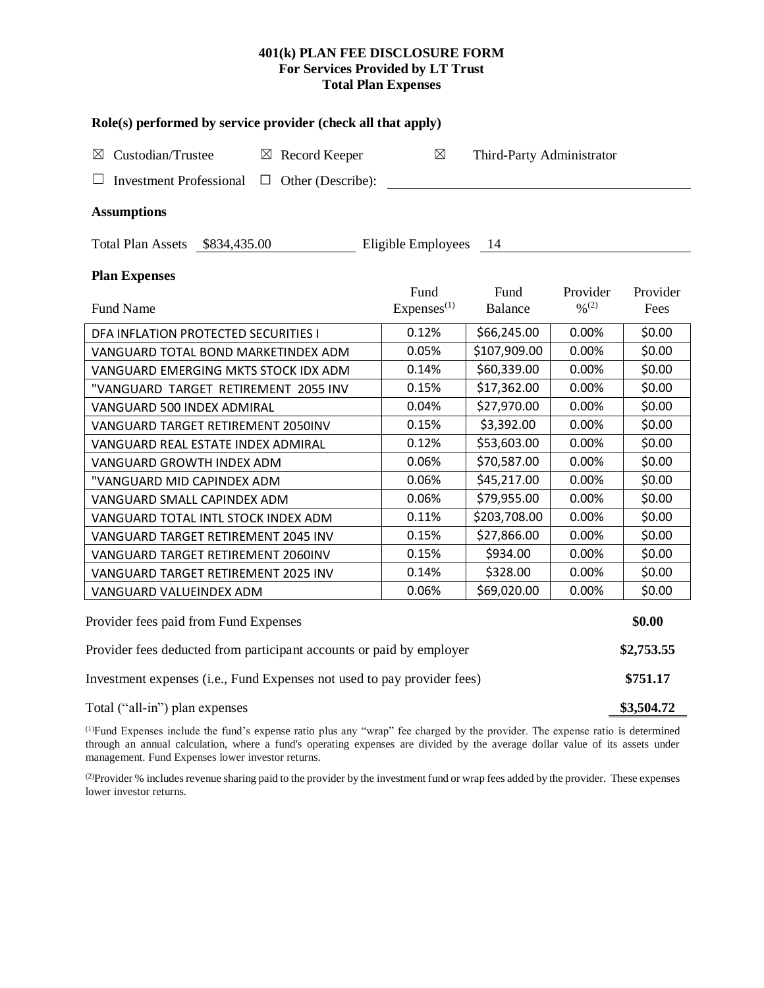## **401(k) PLAN FEE DISCLOSURE FORM For Services Provided by LT Trust Total Plan Expenses**

| Role(s) performed by service provider (check all that apply)            |                                |                           |                                          |                  |  |  |  |  |
|-------------------------------------------------------------------------|--------------------------------|---------------------------|------------------------------------------|------------------|--|--|--|--|
| Custodian/Trustee<br>$\boxtimes$ Record Keeper<br>$\boxtimes$           | ⊠                              | Third-Party Administrator |                                          |                  |  |  |  |  |
| <b>Investment Professional</b><br>$\Box$ Other (Describe):              |                                |                           |                                          |                  |  |  |  |  |
| <b>Assumptions</b>                                                      |                                |                           |                                          |                  |  |  |  |  |
| <b>Total Plan Assets</b><br>\$834,435.00                                | Eligible Employees             | 14                        |                                          |                  |  |  |  |  |
| <b>Plan Expenses</b>                                                    |                                |                           |                                          |                  |  |  |  |  |
| Fund Name                                                               | Fund<br>Express <sup>(1)</sup> | Fund<br><b>Balance</b>    | Provider<br>$\frac{0}{0}$ <sup>(2)</sup> | Provider<br>Fees |  |  |  |  |
| DFA INFLATION PROTECTED SECURITIES I                                    | 0.12%                          | \$66,245.00               | 0.00%                                    | \$0.00           |  |  |  |  |
| VANGUARD TOTAL BOND MARKETINDEX ADM                                     | 0.05%                          | \$107,909.00              | 0.00%                                    | \$0.00           |  |  |  |  |
| VANGUARD EMERGING MKTS STOCK IDX ADM                                    | 0.14%                          | \$60,339.00               | 0.00%                                    | \$0.00           |  |  |  |  |
| "VANGUARD TARGET RETIREMENT 2055 INV                                    | 0.15%                          | \$17,362.00               | 0.00%                                    | \$0.00           |  |  |  |  |
| VANGUARD 500 INDEX ADMIRAL                                              | 0.04%                          | \$27,970.00               | 0.00%                                    | \$0.00           |  |  |  |  |
| VANGUARD TARGET RETIREMENT 2050INV                                      | 0.15%                          | \$3,392.00                | 0.00%                                    | \$0.00           |  |  |  |  |
| VANGUARD REAL ESTATE INDEX ADMIRAL                                      | 0.12%                          | \$53,603.00               | 0.00%                                    | \$0.00           |  |  |  |  |
| VANGUARD GROWTH INDEX ADM                                               | 0.06%                          | \$70,587.00               | 0.00%                                    | \$0.00           |  |  |  |  |
| "VANGUARD MID CAPINDEX ADM                                              | 0.06%                          | \$45,217.00               | 0.00%                                    | \$0.00           |  |  |  |  |
| VANGUARD SMALL CAPINDEX ADM                                             | 0.06%                          | \$79,955.00               | 0.00%                                    | \$0.00           |  |  |  |  |
| VANGUARD TOTAL INTL STOCK INDEX ADM                                     | 0.11%                          | \$203,708.00              | 0.00%                                    | \$0.00           |  |  |  |  |
| VANGUARD TARGET RETIREMENT 2045 INV                                     | 0.15%                          | \$27,866.00               | 0.00%                                    | \$0.00           |  |  |  |  |
| VANGUARD TARGET RETIREMENT 2060INV                                      | 0.15%                          | \$934.00                  | 0.00%                                    | \$0.00           |  |  |  |  |
| VANGUARD TARGET RETIREMENT 2025 INV                                     | 0.14%                          | \$328.00                  | 0.00%                                    | \$0.00           |  |  |  |  |
| VANGUARD VALUEINDEX ADM                                                 | 0.06%                          | \$69,020.00               | 0.00%                                    | \$0.00           |  |  |  |  |
| Provider fees paid from Fund Expenses                                   |                                |                           |                                          | \$0.00           |  |  |  |  |
| Provider fees deducted from participant accounts or paid by employer    |                                |                           |                                          |                  |  |  |  |  |
| Investment expenses (i.e., Fund Expenses not used to pay provider fees) |                                |                           |                                          |                  |  |  |  |  |
| Total ("all-in") plan expenses                                          |                                |                           |                                          |                  |  |  |  |  |

(1)Fund Expenses include the fund's expense ratio plus any "wrap" fee charged by the provider. The expense ratio is determined through an annual calculation, where a fund's operating expenses are divided by the average dollar value of its assets under management. Fund Expenses lower investor returns.

(2) Provider % includes revenue sharing paid to the provider by the investment fund or wrap fees added by the provider. These expenses lower investor returns.